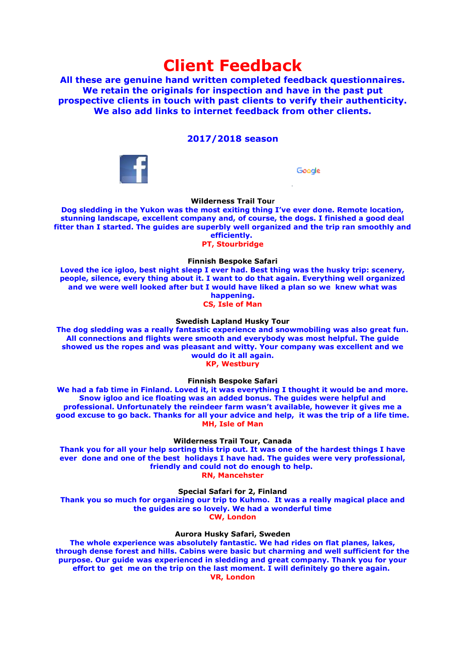# **Client Feedback**

**All these are genuine hand written completed feedback questionnaires. We retain the originals for inspection and have in the past put prospective clients in touch with past clients to verify their authenticity. We also add links to internet feedback from other clients.**

# **2017/2018 season**



Google

# **Wilderness Trail Tour**

**Dog sledding in the Yukon was the most exiting thing I've ever done. Remote location, stunning landscape, excellent company and, of course, the dogs. I finished a good deal fitter than I started. The guides are superbly well organized and the trip ran smoothly and efficiently. PT, Stourbridge**

**Finnish Bespoke Safari Loved the ice igloo, best night sleep I ever had. Best thing was the husky trip: scenery, people, silence, every thing about it. I want to do that again. Everything well organized and we were well looked after but I would have liked a plan so we knew what was happening.**

**CS, Isle of Man**

#### **Swedish Lapland Husky Tour**

**The dog sledding was a really fantastic experience and snowmobiling was also great fun. All connections and flights were smooth and everybody was most helpful. The guide showed us the ropes and was pleasant and witty. Your company was excellent and we would do it all again.**

**KP, Westbury**

**Finnish Bespoke Safari**

**We had a fab time in Finland. Loved it, it was everything I thought it would be and more. Snow igloo and ice floating was an added bonus. The guides were helpful and professional. Unfortunately the reindeer farm wasn't available, however it gives me a good excuse to go back. Thanks for all your advice and help, it was the trip of a life time. MH, Isle of Man**

**Wilderness Trail Tour, Canada**

**Thank you for all your help sorting this trip out. It was one of the hardest things I have ever done and one of the best holidays I have had. The guides were very professional, friendly and could not do enough to help. RN, Mancehster**

**Special Safari for 2, Finland**

**Thank you so much for organizing our trip to Kuhmo. It was a really magical place and the guides are so lovely. We had a wonderful time CW, London**

#### **Aurora Husky Safari, Sweden**

**The whole experience was absolutely fantastic. We had rides on flat planes, lakes, through dense forest and hills. Cabins were basic but charming and well sufficient for the purpose. Our guide was experienced in sledding and great company. Thank you for your effort to get me on the trip on the last moment. I will definitely go there again. VR, London**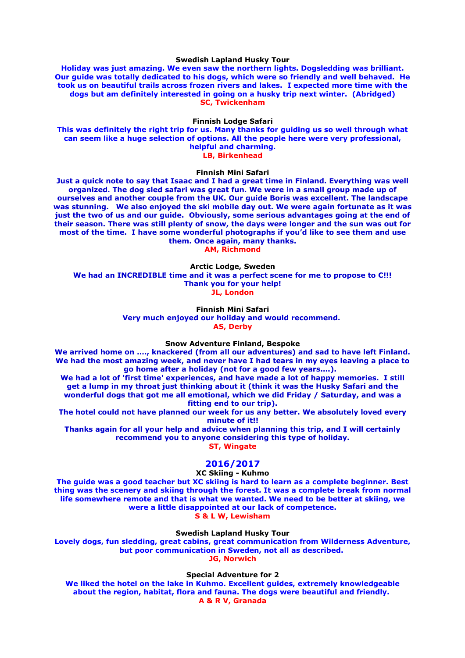#### **Swedish Lapland Husky Tour**

**Holiday was just amazing. We even saw the northern lights. Dogsledding was brilliant. Our guide was totally dedicated to his dogs, which were so friendly and well behaved. He took us on beautiful trails across frozen rivers and lakes. I expected more time with the dogs but am definitely interested in going on a husky trip next winter. (Abridged) SC, Twickenham**

#### **Finnish Lodge Safari**

**This was definitely the right trip for us. Many thanks for guiding us so well through what can seem like a huge selection of options. All the people here were very professional, helpful and charming. LB, Birkenhead**

#### **Finnish Mini Safari**

**Just a quick note to say that Isaac and I had a great time in Finland. Everything was well organized. The dog sled safari was great fun. We were in a small group made up of ourselves and another couple from the UK. Our guide Boris was excellent. The landscape was stunning. We also enjoyed the ski mobile day out. We were again fortunate as it was just the two of us and our guide. Obviously, some serious advantages going at the end of their season. There was still plenty of snow, the days were longer and the sun was out for most of the time. I have some wonderful photographs if you'd like to see them and use them. Once again, many thanks.**

**AM, Richmond**

**Arctic Lodge, Sweden We had an INCREDIBLE time and it was a perfect scene for me to propose to C!!! Thank you for your help! JL, London**

#### **Finnish Mini Safari Very much enjoyed our holiday and would recommend. AS, Derby**

#### **Snow Adventure Finland, Bespoke**

**We arrived home on …., knackered (from all our adventures) and sad to have left Finland. We had the most amazing week, and never have I had tears in my eyes leaving a place to go home after a holiday (not for a good few years….).** 

**We had a lot of 'first time' experiences, and have made a lot of happy memories. I still get a lump in my throat just thinking about it (think it was the Husky Safari and the wonderful dogs that got me all emotional, which we did Friday / Saturday, and was a fitting end to our trip).**

**The hotel could not have planned our week for us any better. We absolutely loved every minute of it!!**

**Thanks again for all your help and advice when planning this trip, and I will certainly recommend you to anyone considering this type of holiday. ST, Wingate**

#### **2016/2017**

#### **XC Skiing - Kuhmo**

**The guide was a good teacher but XC skiing is hard to learn as a complete beginner. Best thing was the scenery and skiing through the forest. It was a complete break from normal life somewhere remote and that is what we wanted. We need to be better at skiing, we were a little disappointed at our lack of competence. S & L W, Lewisham**

**Swedish Lapland Husky Tour Lovely dogs, fun sledding, great cabins, great communication from Wilderness Adventure, but poor communication in Sweden, not all as described. JG, Norwich**

#### **Special Adventure for 2**

**We liked the hotel on the lake in Kuhmo. Excellent guides, extremely knowledgeable about the region, habitat, flora and fauna. The dogs were beautiful and friendly. A & R V, Granada**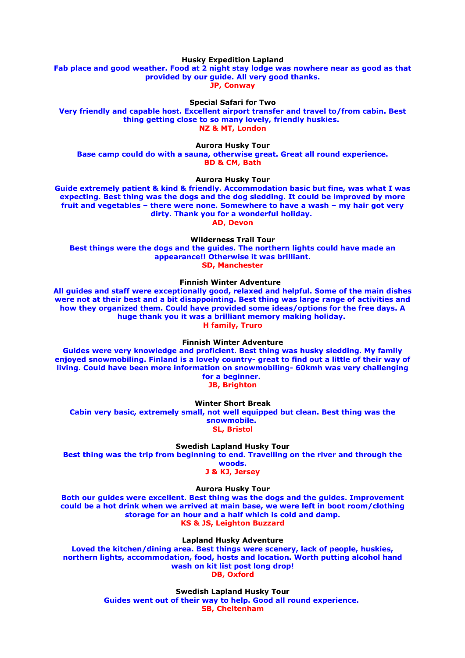**Husky Expedition Lapland**

**Fab place and good weather. Food at 2 night stay lodge was nowhere near as good as that provided by our guide. All very good thanks. JP, Conway**

**Special Safari for Two**

**Very friendly and capable host. Excellent airport transfer and travel to/from cabin. Best thing getting close to so many lovely, friendly huskies. NZ & MT, London**

**Aurora Husky Tour**

**Base camp could do with a sauna, otherwise great. Great all round experience. BD & CM, Bath**

**Aurora Husky Tour**

**Guide extremely patient & kind & friendly. Accommodation basic but fine, was what I was expecting. Best thing was the dogs and the dog sledding. It could be improved by more fruit and vegetables – there were none. Somewhere to have a wash – my hair got very dirty. Thank you for a wonderful holiday.** 

**AD, Devon**

**Wilderness Trail Tour**

**Best things were the dogs and the guides. The northern lights could have made an appearance!! Otherwise it was brilliant. SD, Manchester**

**Finnish Winter Adventure** 

**All guides and staff were exceptionally good, relaxed and helpful. Some of the main dishes were not at their best and a bit disappointing. Best thing was large range of activities and how they organized them. Could have provided some ideas/options for the free days. A huge thank you it was a brilliant memory making holiday. H family, Truro**

**Finnish Winter Adventure**

**Guides were very knowledge and proficient. Best thing was husky sledding. My family enjoyed snowmobiling. Finland is a lovely country- great to find out a little of their way of living. Could have been more information on snowmobiling- 60kmh was very challenging for a beginner.** 

**JB, Brighton**

**Winter Short Break**

**Cabin very basic, extremely small, not well equipped but clean. Best thing was the snowmobile. SL, Bristol**

**Swedish Lapland Husky Tour**

**Best thing was the trip from beginning to end. Travelling on the river and through the woods.**

**J & KJ, Jersey**

**Aurora Husky Tour**

**Both our guides were excellent. Best thing was the dogs and the guides. Improvement could be a hot drink when we arrived at main base, we were left in boot room/clothing storage for an hour and a half which is cold and damp. KS & JS, Leighton Buzzard**

**Lapland Husky Adventure**

**Loved the kitchen/dining area. Best things were scenery, lack of people, huskies, northern lights, accommodation, food, hosts and location. Worth putting alcohol hand wash on kit list post long drop! DB, Oxford**

> **Swedish Lapland Husky Tour Guides went out of their way to help. Good all round experience. SB, Cheltenham**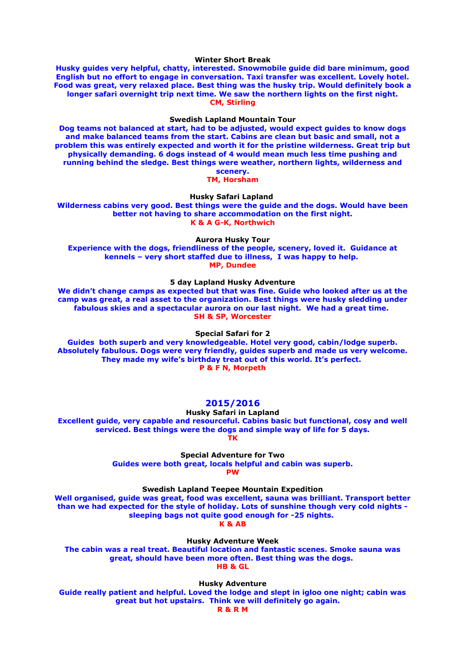**Winter Short Break**

**Husky guides very helpful, chatty, interested. Snowmobile guide did bare minimum, good English but no effort to engage in conversation. Taxi transfer was excellent. Lovely hotel. Food was great, very relaxed place. Best thing was the husky trip. Would definitely book a longer safari overnight trip next time. We saw the northern lights on the first night. CM, Stirling**

### **Swedish Lapland Mountain Tour**

**Dog teams not balanced at start, had to be adjusted, would expect guides to know dogs and make balanced teams from the start. Cabins are clean but basic and small, not a problem this was entirely expected and worth it for the pristine wilderness. Great trip but physically demanding. 6 dogs instead of 4 would mean much less time pushing and running behind the sledge. Best things were weather, northern lights, wilderness and scenery.**

**TM, Horsham**

**Husky Safari Lapland** 

**Wilderness cabins very good. Best things were the guide and the dogs. Would have been better not having to share accommodation on the first night. K & A G-K, Northwich**

**Aurora Husky Tour**

**Experience with the dogs, friendliness of the people, scenery, loved it. Guidance at kennels – very short staffed due to illness, I was happy to help. MP, Dundee**

**5 day Lapland Husky Adventure**

**We didn't change camps as expected but that was fine. Guide who looked after us at the camp was great, a real asset to the organization. Best things were husky sledding under fabulous skies and a spectacular aurora on our last night. We had a great time. SH & SP, Worcester**

**Special Safari for 2**

**Guides both superb and very knowledgeable. Hotel very good, cabin/lodge superb. Absolutely fabulous. Dogs were very friendly, guides superb and made us very welcome. They made my wife's birthday treat out of this world. It's perfect. P & F N, Morpeth**

# **2015/2016**

**Husky Safari in Lapland Excellent guide, very capable and resourceful. Cabins basic but functional, cosy and well serviced. Best things were the dogs and simple way of life for 5 days.**

**TK**

**Special Adventure for Two Guides were both great, locals helpful and cabin was superb.**

**PW**

**Swedish Lapland Teepee Mountain Expedition**

**Well organised, guide was great, food was excellent, sauna was brilliant. Transport better than we had expected for the style of holiday. Lots of sunshine though very cold nights sleeping bags not quite good enough for -25 nights. K & AB**

**Husky Adventure Week**

**The cabin was a real treat. Beautiful location and fantastic scenes. Smoke sauna was great, should have been more often. Best thing was the dogs. HB & GL**

**Husky Adventure**

**Guide really patient and helpful. Loved the lodge and slept in igloo one night; cabin was great but hot upstairs. Think we will definitely go again. R & R M**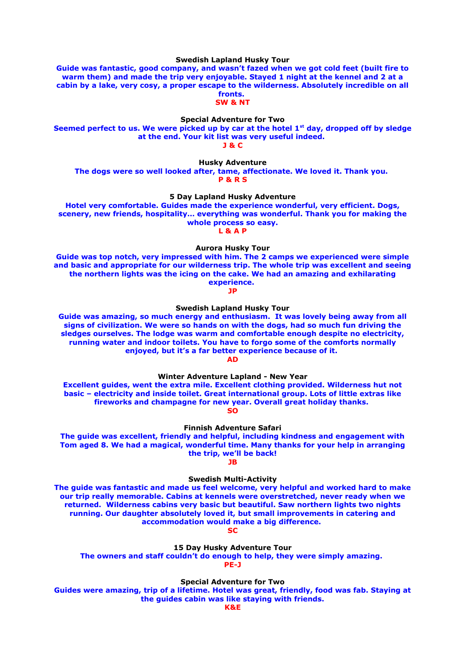**Swedish Lapland Husky Tour**

**Guide was fantastic, good company, and wasn't fazed when we got cold feet (built fire to warm them) and made the trip very enjoyable. Stayed 1 night at the kennel and 2 at a cabin by a lake, very cosy, a proper escape to the wilderness. Absolutely incredible on all fronts.** 

**SW & NT**

**Special Adventure for Two**

**Seemed perfect to us. We were picked up by car at the hotel 1st day, dropped off by sledge at the end. Your kit list was very useful indeed.** 

**J & C**

**Husky Adventure The dogs were so well looked after, tame, affectionate. We loved it. Thank you. P & R S**

**5 Day Lapland Husky Adventure**

**Hotel very comfortable. Guides made the experience wonderful, very efficient. Dogs, scenery, new friends, hospitality… everything was wonderful. Thank you for making the whole process so easy.**

**L & A P**

**Aurora Husky Tour**

**Guide was top notch, very impressed with him. The 2 camps we experienced were simple and basic and appropriate for our wilderness trip. The whole trip was excellent and seeing the northern lights was the icing on the cake. We had an amazing and exhilarating experience.** 

**JP**

**Swedish Lapland Husky Tour**

**Guide was amazing, so much energy and enthusiasm. It was lovely being away from all signs of civilization. We were so hands on with the dogs, had so much fun driving the sledges ourselves. The lodge was warm and comfortable enough despite no electricity, running water and indoor toilets. You have to forgo some of the comforts normally enjoyed, but it's a far better experience because of it.** 

**AD**

**Winter Adventure Lapland - New Year**

**Excellent guides, went the extra mile. Excellent clothing provided. Wilderness hut not basic – electricity and inside toilet. Great international group. Lots of little extras like fireworks and champagne for new year. Overall great holiday thanks. SO**

**Finnish Adventure Safari**

**The guide was excellent, friendly and helpful, including kindness and engagement with Tom aged 8. We had a magical, wonderful time. Many thanks for your help in arranging the trip, we'll be back!**

**JB**

**Swedish Multi-Activity**

**The guide was fantastic and made us feel welcome, very helpful and worked hard to make our trip really memorable. Cabins at kennels were overstretched, never ready when we returned. Wilderness cabins very basic but beautiful. Saw northern lights two nights running. Our daughter absolutely loved it, but small improvements in catering and accommodation would make a big difference.** 

**SC**

**15 Day Husky Adventure Tour**

**The owners and staff couldn't do enough to help, they were simply amazing. PE-J**

**Special Adventure for Two**

**Guides were amazing, trip of a lifetime. Hotel was great, friendly, food was fab. Staying at the guides cabin was like staying with friends.**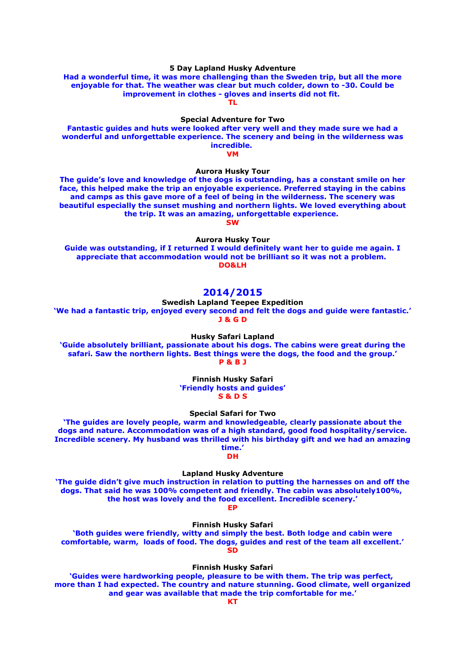### **5 Day Lapland Husky Adventure**

**Had a wonderful time, it was more challenging than the Sweden trip, but all the more enjoyable for that. The weather was clear but much colder, down to -30. Could be improvement in clothes - gloves and inserts did not fit.** 

**TL**

# **Special Adventure for Two**

**Fantastic guides and huts were looked after very well and they made sure we had a wonderful and unforgettable experience. The scenery and being in the wilderness was incredible. VM**

#### **Aurora Husky Tour**

**The guide's love and knowledge of the dogs is outstanding, has a constant smile on her face, this helped make the trip an enjoyable experience. Preferred staying in the cabins and camps as this gave more of a feel of being in the wilderness. The scenery was beautiful especially the sunset mushing and northern lights. We loved everything about the trip. It was an amazing, unforgettable experience.** 

**SW**

**Aurora Husky Tour**

**Guide was outstanding, if I returned I would definitely want her to guide me again. I appreciate that accommodation would not be brilliant so it was not a problem. DO&LH**

# **2014/2015**

**Swedish Lapland Teepee Expedition**

**'We had a fantastic trip, enjoyed every second and felt the dogs and guide were fantastic.' J & G D**

**Husky Safari Lapland**

**'Guide absolutely brilliant, passionate about his dogs. The cabins were great during the safari. Saw the northern lights. Best things were the dogs, the food and the group.' P & B J**

> **Finnish Husky Safari 'Friendly hosts and guides' S & D S**

**Special Safari for Two**

**'The guides are lovely people, warm and knowledgeable, clearly passionate about the dogs and nature. Accommodation was of a high standard, good food hospitality/service. Incredible scenery. My husband was thrilled with his birthday gift and we had an amazing time.'**

# **DH**

## **Lapland Husky Adventure**

**'The guide didn't give much instruction in relation to putting the harnesses on and off the dogs. That said he was 100% competent and friendly. The cabin was absolutely100%, the host was lovely and the food excellent. Incredible scenery.'**

**EP**

**Finnish Husky Safari**

**'Both guides were friendly, witty and simply the best. Both lodge and cabin were comfortable, warm, loads of food. The dogs, guides and rest of the team all excellent.' SD**

**Finnish Husky Safari**

**'Guides were hardworking people, pleasure to be with them. The trip was perfect, more than I had expected. The country and nature stunning. Good climate, well organized and gear was available that made the trip comfortable for me.'**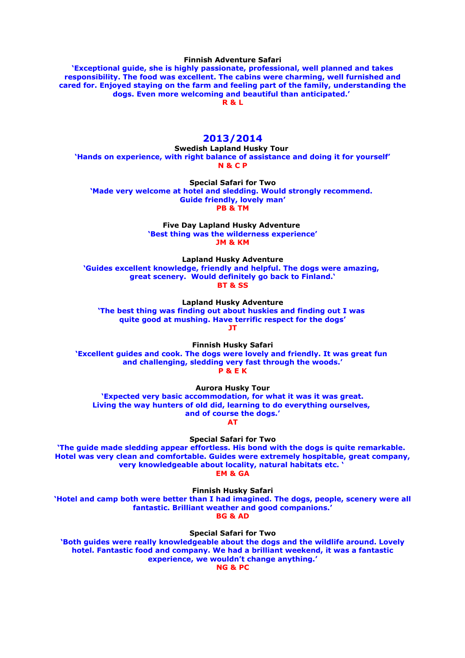**Finnish Adventure Safari**

**'Exceptional guide, she is highly passionate, professional, well planned and takes responsibility. The food was excellent. The cabins were charming, well furnished and cared for. Enjoyed staying on the farm and feeling part of the family, understanding the dogs. Even more welcoming and beautiful than anticipated.' R & L**

#### **2013/2014**

**Swedish Lapland Husky Tour 'Hands on experience, with right balance of assistance and doing it for yourself' N & C P**

**Special Safari for Two 'Made very welcome at hotel and sledding. Would strongly recommend. Guide friendly, lovely man' PB & TM**

> **Five Day Lapland Husky Adventure 'Best thing was the wilderness experience' JM & KM**

**Lapland Husky Adventure 'Guides excellent knowledge, friendly and helpful. The dogs were amazing, great scenery. Would definitely go back to Finland.' BT & SS**

**Lapland Husky Adventure 'The best thing was finding out about huskies and finding out I was quite good at mushing. Have terrific respect for the dogs' JT**

**Finnish Husky Safari 'Excellent guides and cook. The dogs were lovely and friendly. It was great fun and challenging, sledding very fast through the woods.' P & E K**

**Aurora Husky Tour 'Expected very basic accommodation, for what it was it was great. Living the way hunters of old did, learning to do everything ourselves, and of course the dogs.'**

**AT**

**Special Safari for Two**

**'The guide made sledding appear effortless. His bond with the dogs is quite remarkable. Hotel was very clean and comfortable. Guides were extremely hospitable, great company, very knowledgeable about locality, natural habitats etc. ' EM & GA**

**Finnish Husky Safari 'Hotel and camp both were better than I had imagined. The dogs, people, scenery were all fantastic. Brilliant weather and good companions.' BG & AD**

**Special Safari for Two 'Both guides were really knowledgeable about the dogs and the wildlife around. Lovely hotel. Fantastic food and company. We had a brilliant weekend, it was a fantastic experience, we wouldn't change anything.'**

**NG & PC**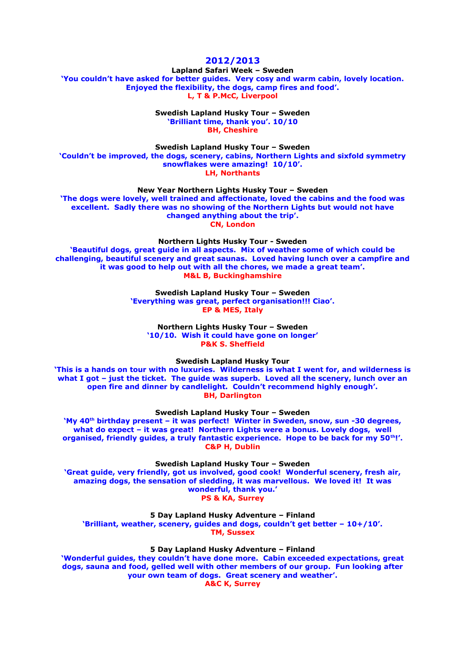# **2012/2013**

**Lapland Safari Week – Sweden 'You couldn't have asked for better guides. Very cosy and warm cabin, lovely location. Enjoyed the flexibility, the dogs, camp fires and food'. L, T & P.McC, Liverpool**

> **Swedish Lapland Husky Tour – Sweden 'Brilliant time, thank you'. 10/10 BH, Cheshire**

**Swedish Lapland Husky Tour – Sweden 'Couldn't be improved, the dogs, scenery, cabins, Northern Lights and sixfold symmetry snowflakes were amazing! 10/10'. LH, Northants**

**New Year Northern Lights Husky Tour – Sweden**

**'The dogs were lovely, well trained and affectionate, loved the cabins and the food was excellent. Sadly there was no showing of the Northern Lights but would not have changed anything about the trip'. CN, London**

**Northern Lights Husky Tour - Sweden**

**'Beautiful dogs, great guide in all aspects. Mix of weather some of which could be challenging, beautiful scenery and great saunas. Loved having lunch over a campfire and it was good to help out with all the chores, we made a great team'. M&L B, Buckinghamshire**

> **Swedish Lapland Husky Tour – Sweden 'Everything was great, perfect organisation!!! Ciao'. EP & MES, Italy**

**Northern Lights Husky Tour – Sweden '10/10. Wish it could have gone on longer' P&K S. Sheffield**

**Swedish Lapland Husky Tour**

**'This is a hands on tour with no luxuries. Wilderness is what I went for, and wilderness is what I got – just the ticket. The guide was superb. Loved all the scenery, lunch over an open fire and dinner by candlelight. Couldn't recommend highly enough'. BH, Darlington**

**Swedish Lapland Husky Tour – Sweden**

**'My 40th birthday present – it was perfect! Winter in Sweden, snow, sun -30 degrees, what do expect – it was great! Northern Lights were a bonus. Lovely dogs, well organised, friendly guides, a truly fantastic experience. Hope to be back for my 50th!'. C&P H, Dublin**

**Swedish Lapland Husky Tour – Sweden**

**'Great guide, very friendly, got us involved, good cook! Wonderful scenery, fresh air, amazing dogs, the sensation of sledding, it was marvellous. We loved it! It was wonderful, thank you.' PS & KA, Surrey**

**5 Day Lapland Husky Adventure – Finland**

**'Brilliant, weather, scenery, guides and dogs, couldn't get better – 10+/10'. TM, Sussex**

**5 Day Lapland Husky Adventure – Finland**

**'Wonderful guides, they couldn't have done more. Cabin exceeded expectations, great dogs, sauna and food, gelled well with other members of our group. Fun looking after your own team of dogs. Great scenery and weather'. A&C K, Surrey**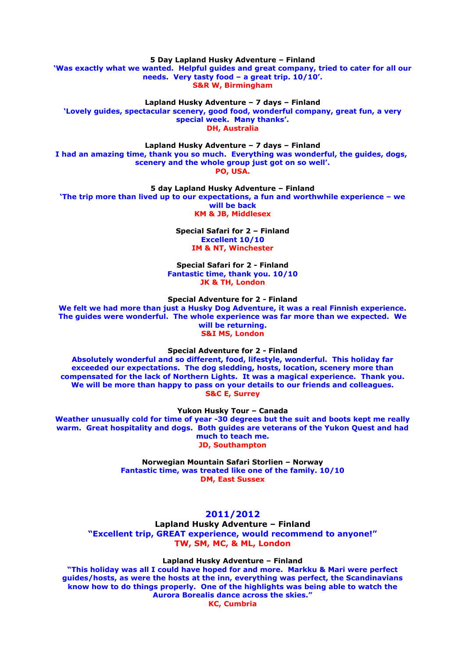**5 Day Lapland Husky Adventure – Finland 'Was exactly what we wanted. Helpful guides and great company, tried to cater for all our needs. Very tasty food – a great trip. 10/10'. S&R W, Birmingham**

**Lapland Husky Adventure – 7 days – Finland 'Lovely guides, spectacular scenery, good food, wonderful company, great fun, a very special week. Many thanks'. DH, Australia**

**Lapland Husky Adventure – 7 days – Finland**

**I had an amazing time, thank you so much. Everything was wonderful, the guides, dogs, scenery and the whole group just got on so well'. PO, USA.**

**5 day Lapland Husky Adventure – Finland**

**'The trip more than lived up to our expectations, a fun and worthwhile experience – we will be back**

**KM & JB, Middlesex**

**Special Safari for 2 – Finland Excellent 10/10 IM & NT, Winchester**

**Special Safari for 2 - Finland Fantastic time, thank you. 10/10 JK & TH, London**

**Special Adventure for 2 - Finland**

**We felt we had more than just a Husky Dog Adventure, it was a real Finnish experience. The guides were wonderful. The whole experience was far more than we expected. We will be returning. S&I MS, London**

**Special Adventure for 2 - Finland**

**Absolutely wonderful and so different, food, lifestyle, wonderful. This holiday far exceeded our expectations. The dog sledding, hosts, location, scenery more than compensated for the lack of Northern Lights. It was a magical experience. Thank you. We will be more than happy to pass on your details to our friends and colleagues. S&C E, Surrey**

**Yukon Husky Tour – Canada**

**Weather unusually cold for time of year -30 degrees but the suit and boots kept me really warm. Great hospitality and dogs. Both guides are veterans of the Yukon Quest and had much to teach me. JD, Southampton**

> **Norwegian Mountain Safari Storlien – Norway Fantastic time, was treated like one of the family. 10/10 DM, East Sussex**

# **2011/2012**

**Lapland Husky Adventure – Finland "Excellent trip, GREAT experience, would recommend to anyone!" TW, SM, MC, & ML, London**

**Lapland Husky Adventure – Finland**

**"This holiday was all I could have hoped for and more. Markku & Mari were perfect guides/hosts, as were the hosts at the inn, everything was perfect, the Scandinavians know how to do things properly. One of the highlights was being able to watch the Aurora Borealis dance across the skies."**

**KC, Cumbria**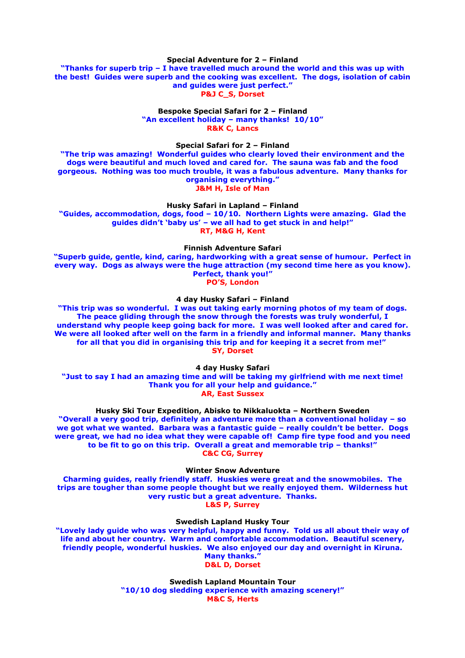#### **Special Adventure for 2 – Finland**

**"Thanks for superb trip – I have travelled much around the world and this was up with the best! Guides were superb and the cooking was excellent. The dogs, isolation of cabin and guides were just perfect." P&J C\_S, Dorset**

#### **Bespoke Special Safari for 2 – Finland "An excellent holiday – many thanks! 10/10" R&K C, Lancs**

**Special Safari for 2 – Finland**

**"The trip was amazing! Wonderful guides who clearly loved their environment and the dogs were beautiful and much loved and cared for. The sauna was fab and the food gorgeous. Nothing was too much trouble, it was a fabulous adventure. Many thanks for organising everything." J&M H, Isle of Man**

**Husky Safari in Lapland – Finland**

**"Guides, accommodation, dogs, food – 10/10. Northern Lights were amazing. Glad the guides didn't 'baby us' – we all had to get stuck in and help!" RT, M&G H, Kent**

**Finnish Adventure Safari**

**"Superb guide, gentle, kind, caring, hardworking with a great sense of humour. Perfect in every way. Dogs as always were the huge attraction (my second time here as you know). Perfect, thank you!" PO'S, London**

**4 day Husky Safari – Finland**

**"This trip was so wonderful. I was out taking early morning photos of my team of dogs. The peace gliding through the snow through the forests was truly wonderful, I understand why people keep going back for more. I was well looked after and cared for. We were all looked after well on the farm in a friendly and informal manner. Many thanks for all that you did in organising this trip and for keeping it a secret from me!" SY, Dorset**

**4 day Husky Safari**

**"Just to say I had an amazing time and will be taking my girlfriend with me next time! Thank you for all your help and guidance." AR, East Sussex**

**Husky Ski Tour Expedition, Abisko to Nikkaluokta – Northern Sweden**

**"Overall a very good trip, definitely an adventure more than a conventional holiday – so we got what we wanted. Barbara was a fantastic guide – really couldn't be better. Dogs were great, we had no idea what they were capable of! Camp fire type food and you need to be fit to go on this trip. Overall a great and memorable trip – thanks!" C&C CG, Surrey**

**Winter Snow Adventure**

**Charming guides, really friendly staff. Huskies were great and the snowmobiles. The trips are tougher than some people thought but we really enjoyed them. Wilderness hut very rustic but a great adventure. Thanks. L&S P, Surrey**

**Swedish Lapland Husky Tour**

**"Lovely lady guide who was very helpful, happy and funny. Told us all about their way of life and about her country. Warm and comfortable accommodation. Beautiful scenery, friendly people, wonderful huskies. We also enjoyed our day and overnight in Kiruna. Many thanks." D&L D, Dorset**

> **Swedish Lapland Mountain Tour "10/10 dog sledding experience with amazing scenery!" M&C S, Herts**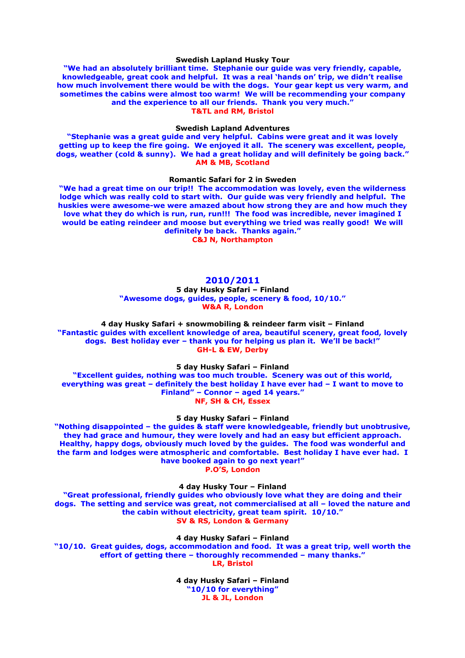#### **Swedish Lapland Husky Tour**

**"We had an absolutely brilliant time. Stephanie our guide was very friendly, capable, knowledgeable, great cook and helpful. It was a real 'hands on' trip, we didn't realise how much involvement there would be with the dogs. Your gear kept us very warm, and sometimes the cabins were almost too warm! We will be recommending your company and the experience to all our friends. Thank you very much." T&TL and RM, Bristol**

#### **Swedish Lapland Adventures**

**"Stephanie was a great guide and very helpful. Cabins were great and it was lovely getting up to keep the fire going. We enjoyed it all. The scenery was excellent, people, dogs, weather (cold & sunny). We had a great holiday and will definitely be going back." AM & MB, Scotland**

#### **Romantic Safari for 2 in Sweden**

**"We had a great time on our trip!! The accommodation was lovely, even the wilderness lodge which was really cold to start with. Our guide was very friendly and helpful. The huskies were awesome-we were amazed about how strong they are and how much they love what they do which is run, run, run!!! The food was incredible, never imagined I would be eating reindeer and moose but everything we tried was really good! We will definitely be back. Thanks again."**

**C&J N, Northampton**

# **2010/2011**

**5 day Husky Safari – Finland "Awesome dogs, guides, people, scenery & food, 10/10." W&A R, London**

**4 day Husky Safari + snowmobiling & reindeer farm visit – Finland "Fantastic guides with excellent knowledge of area, beautiful scenery, great food, lovely dogs. Best holiday ever – thank you for helping us plan it. We'll be back!" GH-L & EW, Derby**

**5 day Husky Safari – Finland**

**"Excellent guides, nothing was too much trouble. Scenery was out of this world, everything was great – definitely the best holiday I have ever had – I want to move to Finland" – Connor – aged 14 years." NF, SH & CH, Essex**

**5 day Husky Safari – Finland**

**"Nothing disappointed – the guides & staff were knowledgeable, friendly but unobtrusive, they had grace and humour, they were lovely and had an easy but efficient approach. Healthy, happy dogs, obviously much loved by the guides. The food was wonderful and the farm and lodges were atmospheric and comfortable. Best holiday I have ever had. I have booked again to go next year!" P.O'S, London**

**4 day Husky Tour – Finland "Great professional, friendly guides who obviously love what they are doing and their dogs. The setting and service was great, not commercialised at all – loved the nature and the cabin without electricity, great team spirit. 10/10." SV & RS, London & Germany**

**4 day Husky Safari – Finland**

**"10/10. Great guides, dogs, accommodation and food. It was a great trip, well worth the effort of getting there – thoroughly recommended – many thanks." LR, Bristol**

> **4 day Husky Safari – Finland "10/10 for everything" JL & JL, London**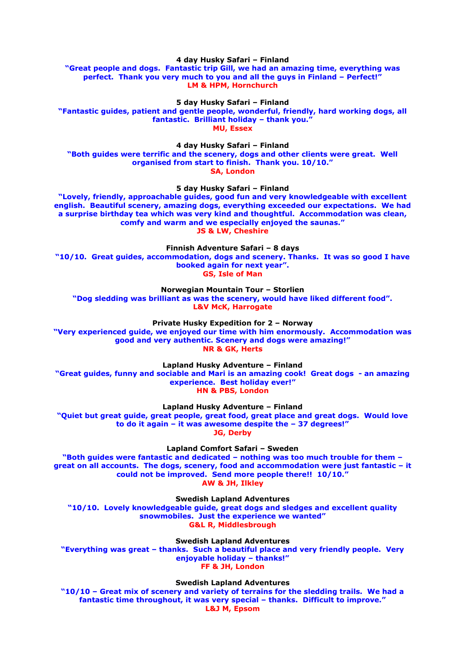**4 day Husky Safari – Finland**

**"Great people and dogs. Fantastic trip Gill, we had an amazing time, everything was perfect. Thank you very much to you and all the guys in Finland – Perfect!" LM & HPM, Hornchurch**

**5 day Husky Safari – Finland**

**"Fantastic guides, patient and gentle people, wonderful, friendly, hard working dogs, all fantastic. Brilliant holiday – thank you." MU, Essex**

**4 day Husky Safari – Finland**

**"Both guides were terrific and the scenery, dogs and other clients were great. Well organised from start to finish. Thank you. 10/10." SA, London**

**5 day Husky Safari – Finland**

**"Lovely, friendly, approachable guides, good fun and very knowledgeable with excellent english. Beautiful scenery, amazing dogs, everything exceeded our expectations. We had a surprise birthday tea which was very kind and thoughtful. Accommodation was clean, comfy and warm and we especially enjoyed the saunas." JS & LW, Cheshire**

**Finnish Adventure Safari – 8 days**

**"10/10. Great guides, accommodation, dogs and scenery. Thanks. It was so good I have booked again for next year". GS, Isle of Man**

**Norwegian Mountain Tour – Storlien**

**"Dog sledding was brilliant as was the scenery, would have liked different food". L&V McK, Harrogate**

**Private Husky Expedition for 2 – Norway**

**"Very experienced guide, we enjoyed our time with him enormously. Accommodation was good and very authentic. Scenery and dogs were amazing!" NR & GK, Herts**

**Lapland Husky Adventure – Finland**

**"Great guides, funny and sociable and Mari is an amazing cook! Great dogs - an amazing experience. Best holiday ever!" HN & PBS, London**

**Lapland Husky Adventure – Finland**

**"Quiet but great guide, great people, great food, great place and great dogs. Would love to do it again – it was awesome despite the – 37 degrees!" JG, Derby**

**Lapland Comfort Safari – Sweden**

**"Both guides were fantastic and dedicated – nothing was too much trouble for them – great on all accounts. The dogs, scenery, food and accommodation were just fantastic – it could not be improved. Send more people there!! 10/10." AW & JH, Ilkley**

**Swedish Lapland Adventures**

**"10/10. Lovely knowledgeable guide, great dogs and sledges and excellent quality snowmobiles. Just the experience we wanted" G&L R, Middlesbrough**

**Swedish Lapland Adventures**

**"Everything was great – thanks. Such a beautiful place and very friendly people. Very enjoyable holiday – thanks!" FF & JH, London**

**Swedish Lapland Adventures**

**"10/10 – Great mix of scenery and variety of terrains for the sledding trails. We had a fantastic time throughout, it was very special – thanks. Difficult to improve." L&J M, Epsom**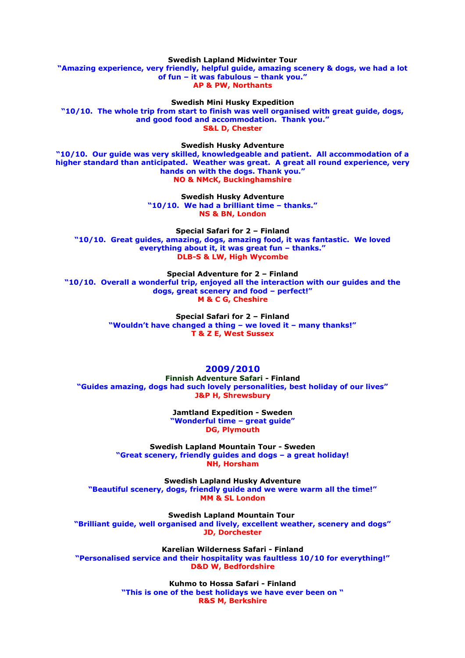**Swedish Lapland Midwinter Tour "Amazing experience, very friendly, helpful guide, amazing scenery & dogs, we had a lot of fun – it was fabulous – thank you." AP & PW, Northants**

**Swedish Mini Husky Expedition "10/10. The whole trip from start to finish was well organised with great guide, dogs, and good food and accommodation. Thank you." S&L D, Chester**

**Swedish Husky Adventure**

**"10/10. Our guide was very skilled, knowledgeable and patient. All accommodation of a higher standard than anticipated. Weather was great. A great all round experience, very hands on with the dogs. Thank you." NO & NMcK, Buckinghamshire**

> **Swedish Husky Adventure "10/10. We had a brilliant time – thanks." NS & BN, London**

**Special Safari for 2 – Finland "10/10. Great guides, amazing, dogs, amazing food, it was fantastic. We loved everything about it, it was great fun – thanks." DLB-S & LW, High Wycombe**

**Special Adventure for 2 – Finland "10/10. Overall a wonderful trip, enjoyed all the interaction with our guides and the dogs, great scenery and food – perfect!" M & C G, Cheshire**

> **Special Safari for 2 – Finland "Wouldn't have changed a thing – we loved it – many thanks!" T & Z E, West Sussex**

# **2009/2010**

**Finnish Adventure Safari - Finland "Guides amazing, dogs had such lovely personalities, best holiday of our lives" J&P H, Shrewsbury**

> **Jamtland Expedition - Sweden "Wonderful time – great guide" DG, Plymouth**

**Swedish Lapland Mountain Tour - Sweden "Great scenery, friendly guides and dogs – a great holiday! NH, Horsham**

**Swedish Lapland Husky Adventure "Beautiful scenery, dogs, friendly guide and we were warm all the time!" MM & SL London**

**Swedish Lapland Mountain Tour "Brilliant guide, well organised and lively, excellent weather, scenery and dogs" JD, Dorchester**

**Karelian Wilderness Safari - Finland "Personalised service and their hospitality was faultless 10/10 for everything!" D&D W, Bedfordshire**

> **Kuhmo to Hossa Safari - Finland "This is one of the best holidays we have ever been on " R&S M, Berkshire**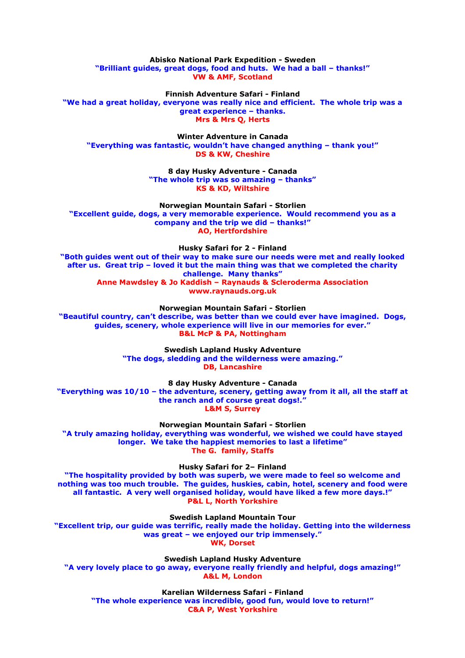**Abisko National Park Expedition - Sweden "Brilliant guides, great dogs, food and huts. We had a ball – thanks!" VW & AMF, Scotland**

**Finnish Adventure Safari - Finland "We had a great holiday, everyone was really nice and efficient. The whole trip was a great experience – thanks. Mrs & Mrs Q, Herts**

**Winter Adventure in Canada "Everything was fantastic, wouldn't have changed anything – thank you!" DS & KW, Cheshire**

> **8 day Husky Adventure - Canada "The whole trip was so amazing – thanks" KS & KD, Wiltshire**

**Norwegian Mountain Safari - Storlien "Excellent guide, dogs, a very memorable experience. Would recommend you as a company and the trip we did – thanks!" AO, Hertfordshire**

**Husky Safari for 2 - Finland**

**"Both guides went out of their way to make sure our needs were met and really looked after us. Great trip – loved it but the main thing was that we completed the charity challenge. Many thanks" Anne Mawdsley & Jo Kaddish – Raynauds & Scleroderma Association www.raynauds.org.uk**

**Norwegian Mountain Safari - Storlien**

**"Beautiful country, can't describe, was better than we could ever have imagined. Dogs, guides, scenery, whole experience will live in our memories for ever." B&L McP & PA, Nottingham**

> **Swedish Lapland Husky Adventure "The dogs, sledding and the wilderness were amazing." DB, Lancashire**

**8 day Husky Adventure - Canada "Everything was 10/10 – the adventure, scenery, getting away from it all, all the staff at the ranch and of course great dogs!." L&M S, Surrey**

**Norwegian Mountain Safari - Storlien "A truly amazing holiday, everything was wonderful, we wished we could have stayed longer. We take the happiest memories to last a lifetime" The G. family, Staffs**

**Husky Safari for 2– Finland**

**"The hospitality provided by both was superb, we were made to feel so welcome and nothing was too much trouble. The guides, huskies, cabin, hotel, scenery and food were all fantastic. A very well organised holiday, would have liked a few more days.!" P&L L, North Yorkshire**

**Swedish Lapland Mountain Tour**

**"Excellent trip, our guide was terrific, really made the holiday. Getting into the wilderness was great – we enjoyed our trip immensely." WK, Dorset**

**Swedish Lapland Husky Adventure "A very lovely place to go away, everyone really friendly and helpful, dogs amazing!" A&L M, London**

**Karelian Wilderness Safari - Finland "The whole experience was incredible, good fun, would love to return!" C&A P, West Yorkshire**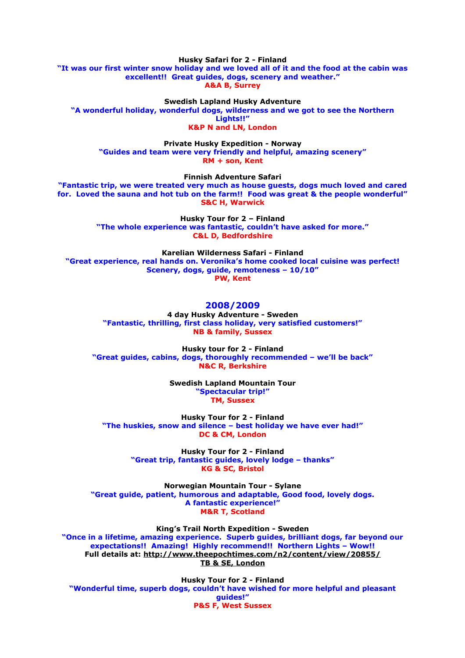**Husky Safari for 2 - Finland "It was our first winter snow holiday and we loved all of it and the food at the cabin was excellent!! Great guides, dogs, scenery and weather." A&A B, Surrey**

**Swedish Lapland Husky Adventure "A wonderful holiday, wonderful dogs, wilderness and we got to see the Northern Lights!!" K&P N and LN, London**

**Private Husky Expedition - Norway "Guides and team were very friendly and helpful, amazing scenery"**

**RM + son, Kent**

**Finnish Adventure Safari**

**"Fantastic trip, we were treated very much as house guests, dogs much loved and cared for. Loved the sauna and hot tub on the farm!! Food was great & the people wonderful" S&C H, Warwick**

> **Husky Tour for 2 – Finland "The whole experience was fantastic, couldn't have asked for more." C&L D, Bedfordshire**

**Karelian Wilderness Safari - Finland "Great experience, real hands on. Veronika's home cooked local cuisine was perfect! Scenery, dogs, guide, remoteness – 10/10" PW, Kent**

# **2008/2009**

**4 day Husky Adventure - Sweden "Fantastic, thrilling, first class holiday, very satisfied customers!" NB & family, Sussex**

**Husky tour for 2 - Finland "Great guides, cabins, dogs, thoroughly recommended – we'll be back" N&C R, Berkshire**

> **Swedish Lapland Mountain Tour "Spectacular trip!" TM, Sussex**

**Husky Tour for 2 - Finland "The huskies, snow and silence – best holiday we have ever had!" DC & CM, London**

> **Husky Tour for 2 - Finland "Great trip, fantastic guides, lovely lodge – thanks" KG & SC, Bristol**

**Norwegian Mountain Tour - Sylane "Great guide, patient, humorous and adaptable, Good food, lovely dogs. A fantastic experience!" M&R T, Scotland**

**King's Trail North Expedition - Sweden "Once in a lifetime, amazing experience. Superb guides, brilliant dogs, far beyond our expectations!! Amazing! Highly recommend!! Northern Lights – Wow!! Full details at:<http://www.theepochtimes.com/n2/content/view/20855/> [TB & SE, London](http://www.theepochtimes.com/n2/content/view/20855/)**

**Husky Tour for 2 - Finland "Wonderful time, superb dogs, couldn't have wished for more helpful and pleasant guides!" P&S F, West Sussex**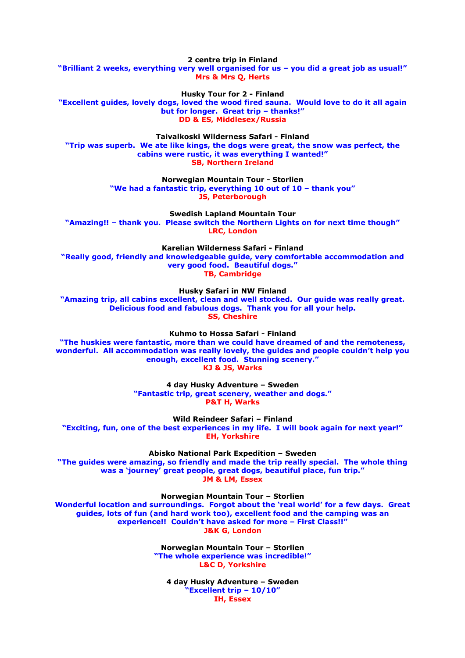**2 centre trip in Finland "Brilliant 2 weeks, everything very well organised for us – you did a great job as usual!" Mrs & Mrs Q, Herts**

**Husky Tour for 2 - Finland**

**"Excellent guides, lovely dogs, loved the wood fired sauna. Would love to do it all again but for longer. Great trip – thanks!" DD & ES, Middlesex/Russia**

**Taivalkoski Wilderness Safari - Finland "Trip was superb. We ate like kings, the dogs were great, the snow was perfect, the cabins were rustic, it was everything I wanted!" SB, Northern Ireland**

> **Norwegian Mountain Tour - Storlien "We had a fantastic trip, everything 10 out of 10 – thank you" JS, Peterborough**

**Swedish Lapland Mountain Tour "Amazing!! – thank you. Please switch the Northern Lights on for next time though" LRC, London**

**Karelian Wilderness Safari - Finland "Really good, friendly and knowledgeable guide, very comfortable accommodation and very good food. Beautiful dogs." TB, Cambridge**

**Husky Safari in NW Finland**

**"Amazing trip, all cabins excellent, clean and well stocked. Our guide was really great. Delicious food and fabulous dogs. Thank you for all your help. SS, Cheshire**

**Kuhmo to Hossa Safari - Finland**

**"The huskies were fantastic, more than we could have dreamed of and the remoteness, wonderful. All accommodation was really lovely, the guides and people couldn't help you enough, excellent food. Stunning scenery." KJ & JS, Warks**

> **4 day Husky Adventure – Sweden "Fantastic trip, great scenery, weather and dogs." P&T H, Warks**

**Wild Reindeer Safari – Finland "Exciting, fun, one of the best experiences in my life. I will book again for next year!" EH, Yorkshire**

**Abisko National Park Expedition – Sweden**

**"The guides were amazing, so friendly and made the trip really special. The whole thing was a 'journey' great people, great dogs, beautiful place, fun trip." JM & LM, Essex**

**Norwegian Mountain Tour – Storlien**

**Wonderful location and surroundings. Forgot about the 'real world' for a few days. Great guides, lots of fun (and hard work too), excellent food and the camping was an experience!! Couldn't have asked for more – First Class!!" J&K G, London**

> **Norwegian Mountain Tour – Storlien "The whole experience was incredible!" L&C D, Yorkshire**

**4 day Husky Adventure – Sweden "Excellent trip – 10/10" IH, Essex**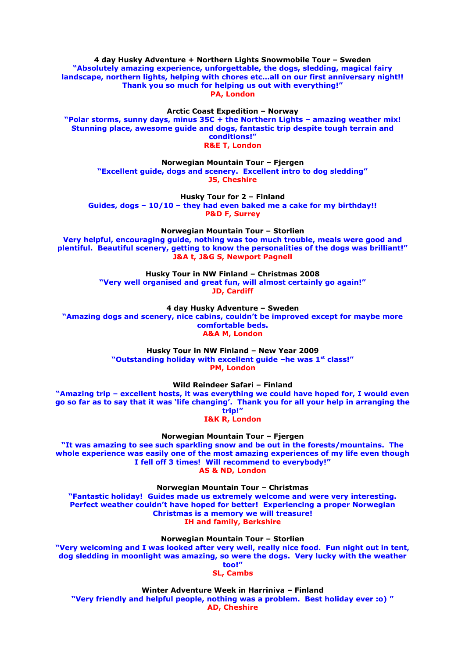**4 day Husky Adventure + Northern Lights Snowmobile Tour – Sweden "Absolutely amazing experience, unforgettable, the dogs, sledding, magical fairy landscape, northern lights, helping with chores etc…all on our first anniversary night!! Thank you so much for helping us out with everything!" PA, London**

**Arctic Coast Expedition – Norway "Polar storms, sunny days, minus 35C + the Northern Lights – amazing weather mix! Stunning place, awesome guide and dogs, fantastic trip despite tough terrain and conditions!" R&E T, London**

**Norwegian Mountain Tour – Fjergen "Excellent guide, dogs and scenery. Excellent intro to dog sledding" JS, Cheshire**

**Husky Tour for 2 – Finland Guides, dogs – 10/10 – they had even baked me a cake for my birthday!! P&D F, Surrey**

**Norwegian Mountain Tour – Storlien Very helpful, encouraging guide, nothing was too much trouble, meals were good and plentiful. Beautiful scenery, getting to know the personalities of the dogs was brilliant!" J&A t, J&G S, Newport Pagnell**

> **Husky Tour in NW Finland – Christmas 2008 "Very well organised and great fun, will almost certainly go again!" JD, Cardiff**

**4 day Husky Adventure – Sweden "Amazing dogs and scenery, nice cabins, couldn't be improved except for maybe more comfortable beds. A&A M, London**

> **Husky Tour in NW Finland – New Year 2009 "Outstanding holiday with excellent guide –he was 1st class!" PM, London**

> > **Wild Reindeer Safari – Finland**

**"Amazing trip – excellent hosts, it was everything we could have hoped for, I would even go so far as to say that it was 'life changing'. Thank you for all your help in arranging the trip!"**

**I&K R, London**

**Norwegian Mountain Tour – Fjergen**

**"It was amazing to see such sparkling snow and be out in the forests/mountains. The whole experience was easily one of the most amazing experiences of my life even though I fell off 3 times! Will recommend to everybody!" AS & ND, London**

**Norwegian Mountain Tour – Christmas**

**"Fantastic holiday! Guides made us extremely welcome and were very interesting. Perfect weather couldn't have hoped for better! Experiencing a proper Norwegian Christmas is a memory we will treasure! IH and family, Berkshire**

**Norwegian Mountain Tour – Storlien**

**"Very welcoming and I was looked after very well, really nice food. Fun night out in tent, dog sledding in moonlight was amazing, so were the dogs. Very lucky with the weather too!"**

**SL, Cambs**

**Winter Adventure Week in Harriniva – Finland "Very friendly and helpful people, nothing was a problem. Best holiday ever :o) " AD, Cheshire**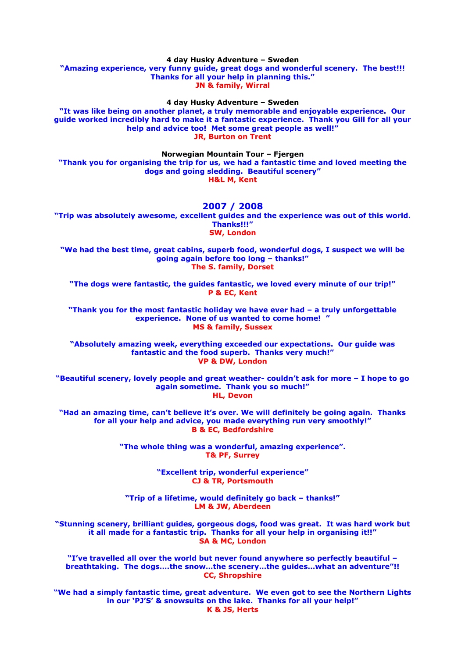**4 day Husky Adventure – Sweden "Amazing experience, very funny guide, great dogs and wonderful scenery. The best!!! Thanks for all your help in planning this." JN & family, Wirral**

**4 day Husky Adventure – Sweden**

**"It was like being on another planet, a truly memorable and enjoyable experience. Our guide worked incredibly hard to make it a fantastic experience. Thank you Gill for all your help and advice too! Met some great people as well!" JR, Burton on Trent**

**Norwegian Mountain Tour – Fjergen**

**"Thank you for organising the trip for us, we had a fantastic time and loved meeting the dogs and going sledding. Beautiful scenery" H&L M, Kent**

#### **2007 / 2008**

**"Trip was absolutely awesome, excellent guides and the experience was out of this world. Thanks!!!" SW, London**

**"We had the best time, great cabins, superb food, wonderful dogs, I suspect we will be going again before too long – thanks!" The S. family, Dorset**

**"The dogs were fantastic, the guides fantastic, we loved every minute of our trip!" P & EC, Kent**

**"Thank you for the most fantastic holiday we have ever had – a truly unforgettable experience. None of us wanted to come home! " MS & family, Sussex**

**"Absolutely amazing week, everything exceeded our expectations. Our guide was fantastic and the food superb. Thanks very much!" VP & DW, London**

**"Beautiful scenery, lovely people and great weather- couldn't ask for more – I hope to go again sometime. Thank you so much!" HL, Devon**

**"Had an amazing time, can't believe it's over. We will definitely be going again. Thanks for all your help and advice, you made everything run very smoothly!" B & EC, Bedfordshire**

> **"The whole thing was a wonderful, amazing experience". T& PF, Surrey**

> > **"Excellent trip, wonderful experience" CJ & TR, Portsmouth**

**"Trip of a lifetime, would definitely go back – thanks!" LM & JW, Aberdeen**

**"Stunning scenery, brilliant guides, gorgeous dogs, food was great. It was hard work but it all made for a fantastic trip. Thanks for all your help in organising it!!" SA & MC, London**

**"I've travelled all over the world but never found anywhere so perfectly beautiful – breathtaking. The dogs….the snow…the scenery…the guides…what an adventure"!! CC, Shropshire**

**"We had a simply fantastic time, great adventure. We even got to see the Northern Lights in our 'PJ'S' & snowsuits on the lake. Thanks for all your help!" K & JS, Herts**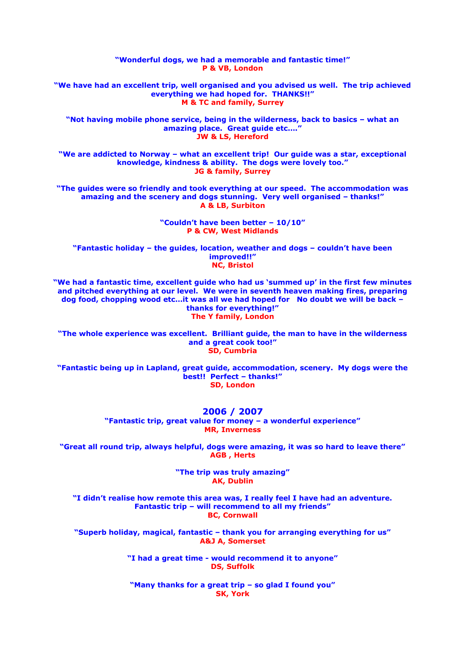**"Wonderful dogs, we had a memorable and fantastic time!" P & VB, London "We have had an excellent trip, well organised and you advised us well. The trip achieved everything we had hoped for. THANKS!!" M & TC and family, Surrey "Not having mobile phone service, being in the wilderness, back to basics – what an amazing place. Great guide etc…." JW & LS, Hereford "We are addicted to Norway – what an excellent trip! Our guide was a star, exceptional knowledge, kindness & ability. The dogs were lovely too." JG & family, Surrey "The guides were so friendly and took everything at our speed. The accommodation was amazing and the scenery and dogs stunning. Very well organised – thanks!" A & LB, Surbiton "Couldn't have been better – 10/10" P & CW, West Midlands "Fantastic holiday – the guides, location, weather and dogs – couldn't have been improved!!"**

**"We had a fantastic time, excellent guide who had us 'summed up' in the first few minutes and pitched everything at our level. We were in seventh heaven making fires, preparing dog food, chopping wood etc…it was all we had hoped for No doubt we will be back – thanks for everything!" The Y family, London**

**NC, Bristol**

**"The whole experience was excellent. Brilliant guide, the man to have in the wilderness and a great cook too!" SD, Cumbria**

**"Fantastic being up in Lapland, great guide, accommodation, scenery. My dogs were the best!! Perfect – thanks!" SD, London**

**2006 / 2007**

**"Fantastic trip, great value for money – a wonderful experience" MR, Inverness**

**"Great all round trip, always helpful, dogs were amazing, it was so hard to leave there" AGB , Herts**

> **"The trip was truly amazing" AK, Dublin**

**"I didn't realise how remote this area was, I really feel I have had an adventure. Fantastic trip – will recommend to all my friends" BC, Cornwall**

**"Superb holiday, magical, fantastic – thank you for arranging everything for us" A&J A, Somerset**

> **"I had a great time - would recommend it to anyone" DS, Suffolk**

**"Many thanks for a great trip – so glad I found you" SK, York**